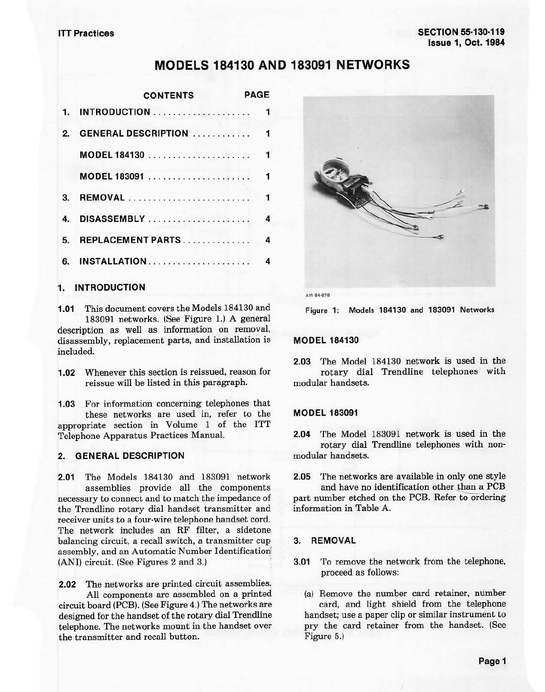# **MODELS 184130 AND 183091 NETWORKS**

|                | PAGE<br><b>CONTENTS</b>                                                    |  |
|----------------|----------------------------------------------------------------------------|--|
|                | 1. INTRODUCTION<br>$\blacktriangleleft$                                    |  |
| $\overline{2}$ |                                                                            |  |
|                | $\overline{1}$<br>MODEL 184130 $\ldots \ldots \ldots \ldots \ldots \ldots$ |  |
|                | MODEL 183091  1                                                            |  |
| 3.             | $\overline{\phantom{a}}$                                                   |  |
| 4.             | $\overline{4}$<br>DISASSEMBLY                                              |  |
| 5.             | REPLACEMENT PARTS<br>4                                                     |  |
| 6.             | INSTALLATION<br>4                                                          |  |

### **1. INTRODUCTION**

**1.01** This document covers the Models 184130 and 183091 networks. (See Figure 1.) A general description as well as information on removal, disassembly, replacement parts, and installation is included.

**1.02** Whenever this section is reissued, reason for reissue will be listed in this paragraph.

**1.03** For information concerning telephones that these networks are used in, refer to the appropriate section in Volume 1 of the ITT Telephone Apparatus Practices Manual.

### **2.\_ GENERAL DESCRIPTION**

**2.01** The Models 184130 and 183091 network assemblies provide all the components necessary to connect and to match the impedance of the Trendline rotary dial handset transmitter and receiver units to a four-wire telephone handset cord. The network includes an RF filter, a sidetone balancing circuit, a recall switch, a transmitter cup assembly, and an Automatic Number Identification (ANI) circuit. (See Figures 2 and 3.)

**2.02** The networks are printed circuit assemblies'. All components are assembled on a printed circuit board (PCB). (See Figure 4.) The networks are designed for the handset of the rotary dial Trendline telephone. The networks mount in the handset over the transmitter and recall button.





Figure 1: Models 184130 and 183091 Networks

### **MODEL 184130**

**2.03** The Model 184130 network is used in the rotary dial Trendline telephones with modular handsets.

### **MODEL 183091**

**2.04** The Model 183091 network is used in the rotary dial Trendline telephones with non· modular handsets.

**2.05** The networks are available in only one style and have no identification other than a PCB part number etched on the PCB. Refer to ordering information in Table A.

### **3. REMOVAL**

**3.01** To remove the network from the telephone, proceed as follows:

(a) Remove the number card retainer, number card, and light shield from the telephone handset; use a paper clip or similar instrument to pry the card retainer from the handset. (See Figure 5.)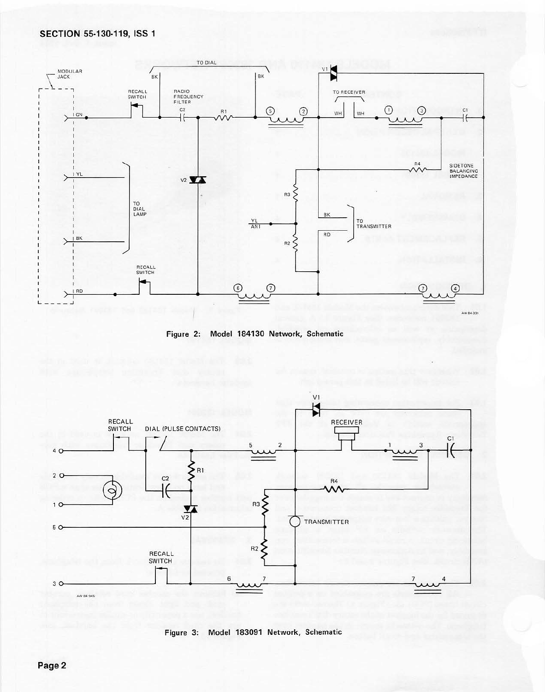





Figure 3: Model 183091 Network, Schematic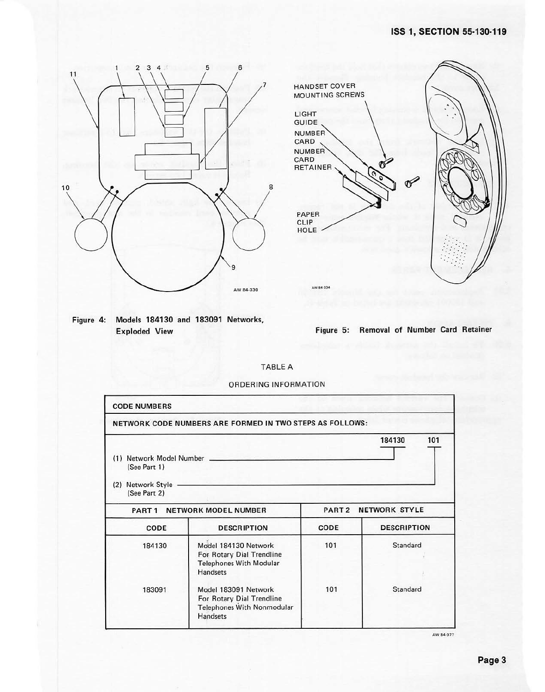# **ISS 1, SECTION 55-130-119**





**Figure 4: Models 184130 and 183091 Networks, Exploded View Figure 5: Removal of Number Card Retainer** 

#### TABLE A

ORDERING INFORMATION

|                                                             | NETWORK CODE NUMBERS ARE FORMED IN TWO STEPS AS FOLLOWS:                                        |                      |                    |  |
|-------------------------------------------------------------|-------------------------------------------------------------------------------------------------|----------------------|--------------------|--|
| (1)<br>(See Part 1)<br>Network Style<br>(2)<br>(See Part 2) | Network Model Number                                                                            |                      | 101<br>184130      |  |
|                                                             | PART 1 NETWORK MODEL NUMBER                                                                     | PART 2 NETWORK STYLE |                    |  |
| CODE                                                        | <b>DESCRIPTION</b>                                                                              | CODE                 | <b>DESCRIPTION</b> |  |
| 184130                                                      | Model 184130 Network<br>For Rotary Dial Trendline<br><b>Telephones With Modular</b><br>Handsets | 101                  | Standard           |  |
| 183091                                                      | Model 183091 Network<br>For Rotary Dial Trendline<br>Telephones With Nonmodular                 | 101                  | Standard           |  |

**AW 84•977**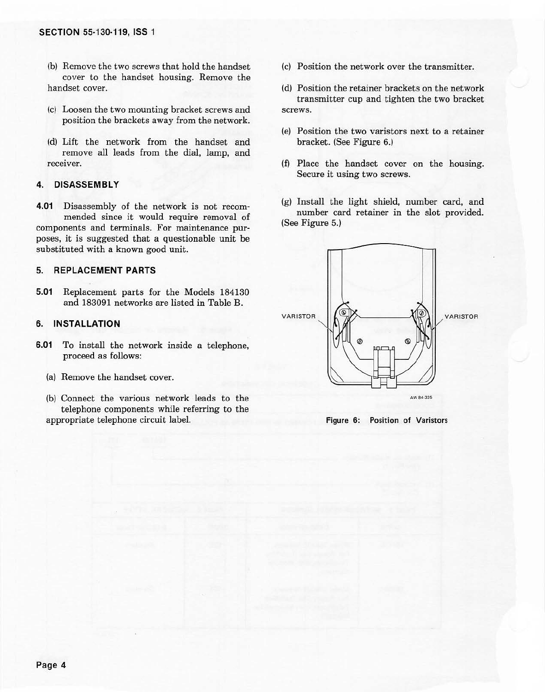- (b) Remove the two screws that hold the handset cover to the handset housing. Remove the handset cover.
- (c) Loosen the two mounting bracket screws and position the brackets away from the network.
- (d) Lift the network from the handset and remove all leads from the dial, lamp, and receiver.

### **4. DISASSEMBLY**

**4.01** Disassembly of the network is not recom· mended since it would require removal of components and terminals. For maintenance purposes, it is suggested that a questionable unit be substituted with a known good unit.

## **5. REPLACEMENT PARTS**

**5.01** Replacement parts for the Models 184130 and 183091 networks are listed in Table B.

## **6. INSTALLATION**

- **6.01** To install the network inside a telephone, proceed as follows:
	- (a) Remove the handset cover.
	- (b) Connect the various network leads *to* the telephone components while referring to the appropriate telephone circuit label.
- (c) Position the network over the transmitter.
- (d) Position the retainer brackets on the network transmitter cup and tighten the two bracket screws.
- (e) Position the two varistors next to a retainer bracket. (See Figure 6.)
- (f) Place the handset cover on the housing. Secure it using two screws.
- (g) Install the light shield, number card, and number card retainer in the slot provided. (See Figure 5.)